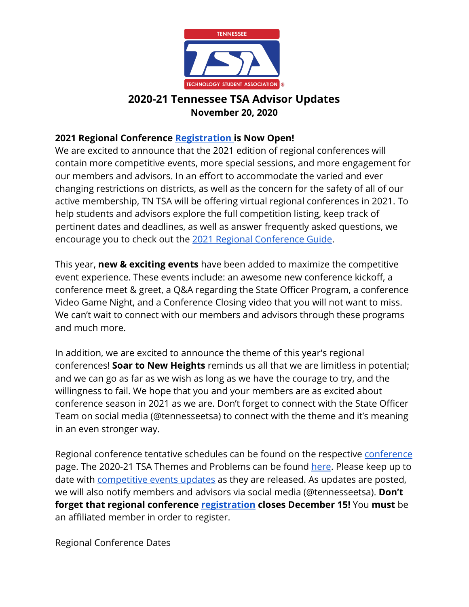

#### **2021 Regional Conference [Registration](http://www.tntsa.org/conferences.html) is Now Open!**

We are excited to announce that the 2021 edition of regional conferences will contain more competitive events, more special sessions, and more engagement for our members and advisors. In an effort to accommodate the varied and ever changing restrictions on districts, as well as the concern for the safety of all of our active membership, TN TSA will be offering virtual regional conferences in 2021. To help students and advisors explore the full competition listing, keep track of pertinent dates and deadlines, as well as answer frequently asked questions, we encourage you to check out the [2021 Regional Conference Guide.](http://www.tntsa.org/uploads/5/2/5/4/5254437/2021_tntsa_regional_conference_guide.pdf)

This year, **new & exciting events** have been added to maximize the competitive event experience. These events include: an awesome new conference kickoff, a conference meet & greet, a Q&A regarding the State Officer Program, a conference Video Game Night, and a Conference Closing video that you will not want to miss. We can't wait to connect with our members and advisors through these programs and much more.

In addition, we are excited to announce the theme of this year's regional conferences! **Soar to New Heights** reminds us all that we are limitless in potential; and we can go as far as we wish as long as we have the courage to try, and the willingness to fail. We hope that you and your members are as excited about conference season in 2021 as we are. Don't forget to connect with the State Officer Team on social media (@tennesseetsa) to connect with the theme and it's meaning in an even stronger way.

Regional [conference](http://www.tntsa.org/conferences.html) tentative schedules can be found on the respective *conference* page. The 2020-21 TSA Themes and Problems can be found [here](https://tsaweb.org/competitions-programs/tsa/themes-problems). Please keep up to date with [competitive events updates](http://www.tntsa.org/tn-tsa-competitive-events-updates.html) as they are released. As updates are posted, we will also notify members and advisors via social media (@tennesseetsa). **Don't forget that regional conference <b>registration closes December 15!** You must be an affiliated member in order to register.

Regional Conference Dates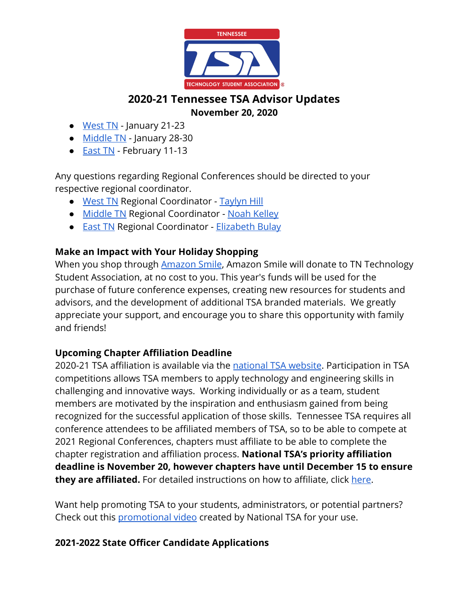

- [West TN](http://www.tntsa.org/west-tennessee-regional-conference.html) January 21-23
- [Middle TN](http://www.tntsa.org/middle-tennessee-regional-conference.html) January 28-30
- **[East TN](http://www.tntsa.org/middle-tennessee-regional-conference.html)** February 11-13

Any questions regarding Regional Conferences should be directed to your respective regional coordinator.

- [West TN](http://www.tntsa.org/west-tennessee-regional-conference.html) Regional Coordinator - [Taylyn Hill](mailto:Taylyn.Hill@tntsa.org)
- [Middle TN](http://www.tntsa.org/middle-tennessee-regional-conference.html) Regional Coordinator - [Noah Kelley](mailto:Noah.Kelley@tntsa.org)
- **[East TN](http://www.tntsa.org/middle-tennessee-regional-conference.html) Regional Coordinator Elizabeth Bulay**

#### **Make an Impact with Your Holiday Shopping**

When you shop through **Amazon Smile**, Amazon Smile will donate to TN Technology Student Association, at no cost to you. This year's funds will be used for the purchase of future conference expenses, creating new resources for students and advisors, and the development of additional TSA branded materials. We greatly appreciate your support, and encourage you to share this opportunity with family and friends!

#### **Upcoming Chapter Affiliation Deadline**

2020-21 TSA affiliation is available via the [national TSA website](https://tsaweb.org/membership/affiliation-and-dues). Participation in TSA competitions allows TSA members to apply technology and engineering skills in challenging and innovative ways. Working individually or as a team, student members are motivated by the inspiration and enthusiasm gained from being recognized for the successful application of those skills. Tennessee TSA requires all conference attendees to be affiliated members of TSA, so to be able to compete at 2021 Regional Conferences, chapters must affiliate to be able to complete the chapter registration and affiliation process. **National TSA's priority affiliation deadline is November 20, however chapters have until December 15 to ensure they are affiliated.** For detailed instructions on how to affiliate, click [here](http://www.tntsa.org/affiliation.html).

Want help promoting TSA to your students, administrators, or potential partners? Check out this [promotional video](https://vimeo.com/462743649) created by National TSA for your use.

#### **2021-2022 State Officer Candidate Applications**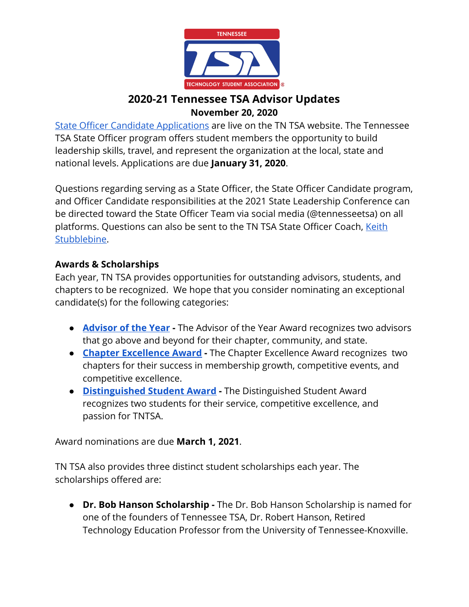

[State Officer Candidate Applications](http://www.tntsa.org/state-officer-application.html) are live on the TN TSA website. The Tennessee TSA State Officer program offers student members the opportunity to build leadership skills, travel, and represent the organization at the local, state and national levels. Applications are due **January 31, 2020**.

Questions regarding serving as a State Officer, the State Officer Candidate program, and Officer Candidate responsibilities at the 2021 State Leadership Conference can be directed toward the State Officer Team via social media (@tennesseetsa) on all platforms. Questions can also be sent to the TN TSA State Officer Coach, [Keith](mailto:keith.stubblebine@tntsa.org) [Stubblebine.](mailto:keith.stubblebine@tntsa.org)

#### **Awards & Scholarships**

Each year, TN TSA provides opportunities for outstanding advisors, students, and chapters to be recognized. We hope that you consider nominating an exceptional candidate(s) for the following categories:

- **[Advisor of the Year](https://tsaweb.org/resources/awards-and-scholarships) -** The Advisor of the Year Award recognizes two advisors that go above and beyond for their chapter, community, and state.
- **[Chapter Excellence Award](https://tsaweb.org/resources/awards-and-scholarships)** The Chapter Excellence Award recognizes two chapters for their success in membership growth, competitive events, and competitive excellence.
- **[Distinguished Student Award](http://www.tntsa.org/distinguished-student-award.html)** The Distinguished Student Award recognizes two students for their service, competitive excellence, and passion for TNTSA.

Award nominations are due **March 1, 2021**.

TN TSA also provides three distinct student scholarships each year. The scholarships offered are:

**● Dr. Bob Hanson Scholarship -** The Dr. Bob Hanson Scholarship is named for one of the founders of Tennessee TSA, Dr. Robert Hanson, Retired Technology Education Professor from the University of Tennessee-Knoxville.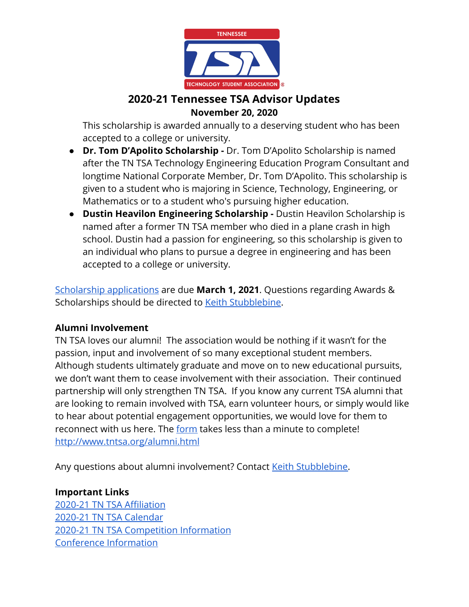

This scholarship is awarded annually to a deserving student who has been accepted to a college or university.

- **Dr. Tom D'Apolito Scholarship -** Dr. Tom D'Apolito Scholarship is named after the TN TSA Technology Engineering Education Program Consultant and longtime National Corporate Member, Dr. Tom D'Apolito. This scholarship is given to a student who is majoring in Science, Technology, Engineering, or Mathematics or to a student who's pursuing higher education.
- **● Dustin Heavilon Engineering Scholarship** Dustin Heavilon Scholarship is named after a former TN TSA member who died in a plane crash in high school. Dustin had a passion for engineering, so this scholarship is given to an individual who plans to pursue a degree in engineering and has been accepted to a college or university.

[Scholarship applications](http://www.tntsa.org/scholarship-application.html) are due **March 1, 2021**. Questions regarding Awards & Scholarships should be directed to [Keith Stubblebine](mailto:Keith.Stubblebine@tntsa.org).

#### **Alumni Involvement**

TN TSA loves our alumni! The association would be nothing if it wasn't for the passion, input and involvement of so many exceptional student members. Although students ultimately graduate and move on to new educational pursuits, we don't want them to cease involvement with their association. Their continued partnership will only strengthen TN TSA. If you know any current TSA alumni that are looking to remain involved with TSA, earn volunteer hours, or simply would like to hear about potential engagement opportunities, we would love for them to reconnect with us here. The [form](http://www.tntsa.org/alumni.html) takes less than a minute to complete! <http://www.tntsa.org/alumni.html>

Any questions about alumni involvement? Contact [Keith Stubblebine](mailto:keith.stubblebine@tntsa.org).

#### **Important Links**

[2020-21 TN TSA Affiliation](http://www.tntsa.org/affiliation.html) [2020-21 TN TSA Calendar](http://www.tntsa.org/calendar.html) [2020-21 TN TSA Competition Information](http://www.tntsa.org/competitive-events.html) [Conference Information](http://www.tntsa.org/conferences.html)